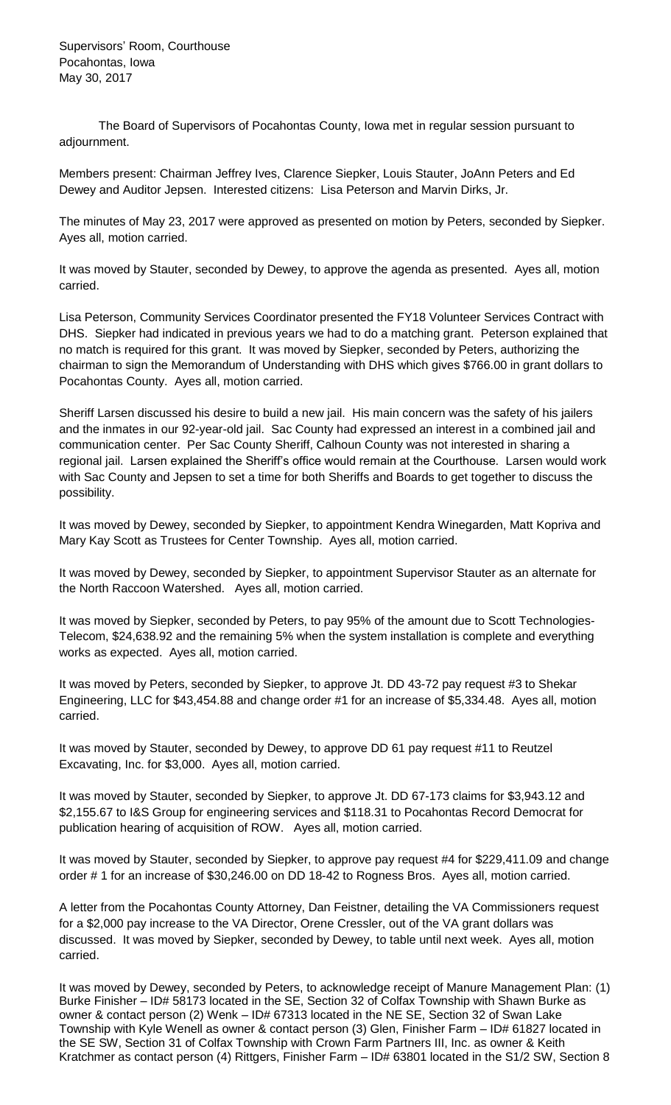Supervisors' Room, Courthouse Pocahontas, Iowa May 30, 2017

The Board of Supervisors of Pocahontas County, Iowa met in regular session pursuant to adjournment.

Members present: Chairman Jeffrey Ives, Clarence Siepker, Louis Stauter, JoAnn Peters and Ed Dewey and Auditor Jepsen. Interested citizens: Lisa Peterson and Marvin Dirks, Jr.

The minutes of May 23, 2017 were approved as presented on motion by Peters, seconded by Siepker. Ayes all, motion carried.

It was moved by Stauter, seconded by Dewey, to approve the agenda as presented. Ayes all, motion carried.

Lisa Peterson, Community Services Coordinator presented the FY18 Volunteer Services Contract with DHS. Siepker had indicated in previous years we had to do a matching grant. Peterson explained that no match is required for this grant. It was moved by Siepker, seconded by Peters, authorizing the chairman to sign the Memorandum of Understanding with DHS which gives \$766.00 in grant dollars to Pocahontas County. Ayes all, motion carried.

Sheriff Larsen discussed his desire to build a new jail. His main concern was the safety of his jailers and the inmates in our 92-year-old jail. Sac County had expressed an interest in a combined jail and communication center. Per Sac County Sheriff, Calhoun County was not interested in sharing a regional jail. Larsen explained the Sheriff's office would remain at the Courthouse. Larsen would work with Sac County and Jepsen to set a time for both Sheriffs and Boards to get together to discuss the possibility.

It was moved by Dewey, seconded by Siepker, to appointment Kendra Winegarden, Matt Kopriva and Mary Kay Scott as Trustees for Center Township. Ayes all, motion carried.

It was moved by Dewey, seconded by Siepker, to appointment Supervisor Stauter as an alternate for the North Raccoon Watershed. Ayes all, motion carried.

It was moved by Siepker, seconded by Peters, to pay 95% of the amount due to Scott Technologies-Telecom, \$24,638.92 and the remaining 5% when the system installation is complete and everything works as expected. Ayes all, motion carried.

It was moved by Peters, seconded by Siepker, to approve Jt. DD 43-72 pay request #3 to Shekar Engineering, LLC for \$43,454.88 and change order #1 for an increase of \$5,334.48. Ayes all, motion carried.

It was moved by Stauter, seconded by Dewey, to approve DD 61 pay request #11 to Reutzel Excavating, Inc. for \$3,000. Ayes all, motion carried.

It was moved by Stauter, seconded by Siepker, to approve Jt. DD 67-173 claims for \$3,943.12 and \$2,155.67 to I&S Group for engineering services and \$118.31 to Pocahontas Record Democrat for publication hearing of acquisition of ROW. Ayes all, motion carried.

It was moved by Stauter, seconded by Siepker, to approve pay request #4 for \$229,411.09 and change order # 1 for an increase of \$30,246.00 on DD 18-42 to Rogness Bros. Ayes all, motion carried.

A letter from the Pocahontas County Attorney, Dan Feistner, detailing the VA Commissioners request for a \$2,000 pay increase to the VA Director, Orene Cressler, out of the VA grant dollars was discussed. It was moved by Siepker, seconded by Dewey, to table until next week. Ayes all, motion carried.

It was moved by Dewey, seconded by Peters, to acknowledge receipt of Manure Management Plan: (1) Burke Finisher – ID# 58173 located in the SE, Section 32 of Colfax Township with Shawn Burke as owner & contact person (2) Wenk – ID# 67313 located in the NE SE, Section 32 of Swan Lake Township with Kyle Wenell as owner & contact person (3) Glen, Finisher Farm – ID# 61827 located in the SE SW, Section 31 of Colfax Township with Crown Farm Partners III, Inc. as owner & Keith Kratchmer as contact person (4) Rittgers, Finisher Farm – ID# 63801 located in the S1/2 SW, Section 8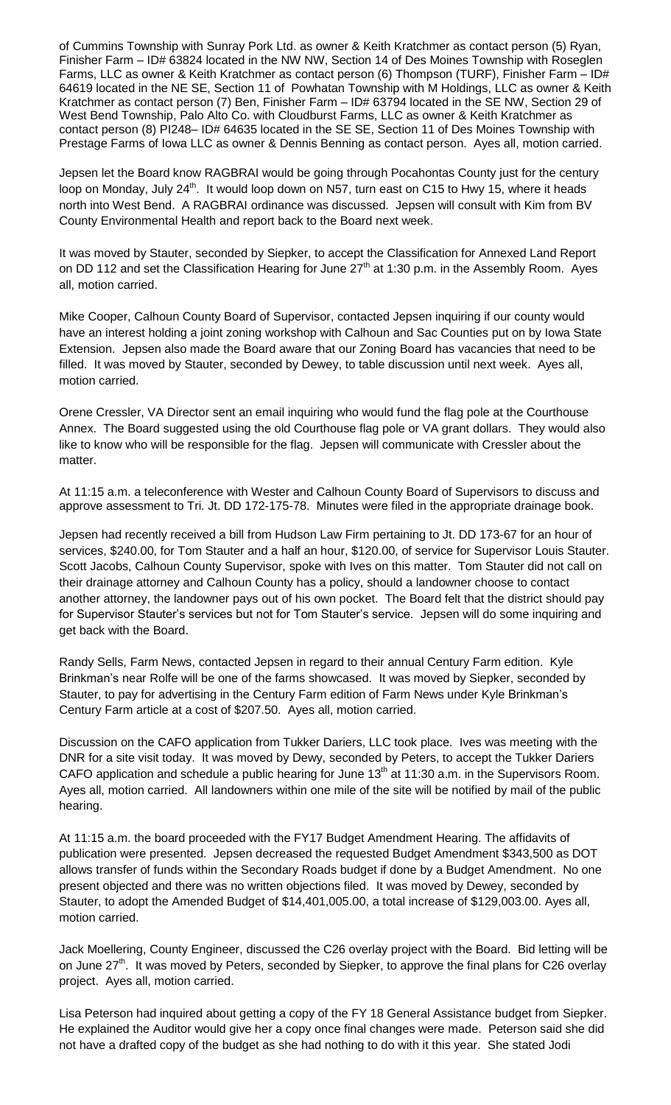of Cummins Township with Sunray Pork Ltd. as owner & Keith Kratchmer as contact person (5) Ryan, Finisher Farm – ID# 63824 located in the NW NW, Section 14 of Des Moines Township with Roseglen Farms, LLC as owner & Keith Kratchmer as contact person (6) Thompson (TURF), Finisher Farm – ID# 64619 located in the NE SE, Section 11 of Powhatan Township with M Holdings, LLC as owner & Keith Kratchmer as contact person (7) Ben, Finisher Farm – ID# 63794 located in the SE NW, Section 29 of West Bend Township, Palo Alto Co. with Cloudburst Farms, LLC as owner & Keith Kratchmer as contact person (8) PI248– ID# 64635 located in the SE SE, Section 11 of Des Moines Township with Prestage Farms of Iowa LLC as owner & Dennis Benning as contact person. Ayes all, motion carried.

Jepsen let the Board know RAGBRAI would be going through Pocahontas County just for the century loop on Monday, July 24<sup>th</sup>. It would loop down on N57, turn east on C15 to Hwy 15, where it heads north into West Bend. A RAGBRAI ordinance was discussed. Jepsen will consult with Kim from BV County Environmental Health and report back to the Board next week.

It was moved by Stauter, seconded by Siepker, to accept the Classification for Annexed Land Report on DD 112 and set the Classification Hearing for June  $27<sup>th</sup>$  at 1:30 p.m. in the Assembly Room. Ayes all, motion carried.

Mike Cooper, Calhoun County Board of Supervisor, contacted Jepsen inquiring if our county would have an interest holding a joint zoning workshop with Calhoun and Sac Counties put on by Iowa State Extension. Jepsen also made the Board aware that our Zoning Board has vacancies that need to be filled. It was moved by Stauter, seconded by Dewey, to table discussion until next week. Ayes all, motion carried.

Orene Cressler, VA Director sent an email inquiring who would fund the flag pole at the Courthouse Annex. The Board suggested using the old Courthouse flag pole or VA grant dollars. They would also like to know who will be responsible for the flag. Jepsen will communicate with Cressler about the matter.

At 11:15 a.m. a teleconference with Wester and Calhoun County Board of Supervisors to discuss and approve assessment to Tri. Jt. DD 172-175-78. Minutes were filed in the appropriate drainage book.

Jepsen had recently received a bill from Hudson Law Firm pertaining to Jt. DD 173-67 for an hour of services, \$240.00, for Tom Stauter and a half an hour, \$120.00, of service for Supervisor Louis Stauter. Scott Jacobs, Calhoun County Supervisor, spoke with Ives on this matter. Tom Stauter did not call on their drainage attorney and Calhoun County has a policy, should a landowner choose to contact another attorney, the landowner pays out of his own pocket. The Board felt that the district should pay for Supervisor Stauter's services but not for Tom Stauter's service. Jepsen will do some inquiring and get back with the Board.

Randy Sells, Farm News, contacted Jepsen in regard to their annual Century Farm edition. Kyle Brinkman's near Rolfe will be one of the farms showcased. It was moved by Siepker, seconded by Stauter, to pay for advertising in the Century Farm edition of Farm News under Kyle Brinkman's Century Farm article at a cost of \$207.50. Ayes all, motion carried.

Discussion on the CAFO application from Tukker Dariers, LLC took place. Ives was meeting with the DNR for a site visit today. It was moved by Dewy, seconded by Peters, to accept the Tukker Dariers CAFO application and schedule a public hearing for June  $13<sup>th</sup>$  at 11:30 a.m. in the Supervisors Room. Ayes all, motion carried. All landowners within one mile of the site will be notified by mail of the public hearing.

At 11:15 a.m. the board proceeded with the FY17 Budget Amendment Hearing. The affidavits of publication were presented. Jepsen decreased the requested Budget Amendment \$343,500 as DOT allows transfer of funds within the Secondary Roads budget if done by a Budget Amendment. No one present objected and there was no written objections filed. It was moved by Dewey, seconded by Stauter, to adopt the Amended Budget of \$14,401,005.00, a total increase of \$129,003.00. Ayes all, motion carried.

Jack Moellering, County Engineer, discussed the C26 overlay project with the Board. Bid letting will be on June 27<sup>th</sup>. It was moved by Peters, seconded by Siepker, to approve the final plans for C26 overlay project. Ayes all, motion carried.

Lisa Peterson had inquired about getting a copy of the FY 18 General Assistance budget from Siepker. He explained the Auditor would give her a copy once final changes were made. Peterson said she did not have a drafted copy of the budget as she had nothing to do with it this year. She stated Jodi